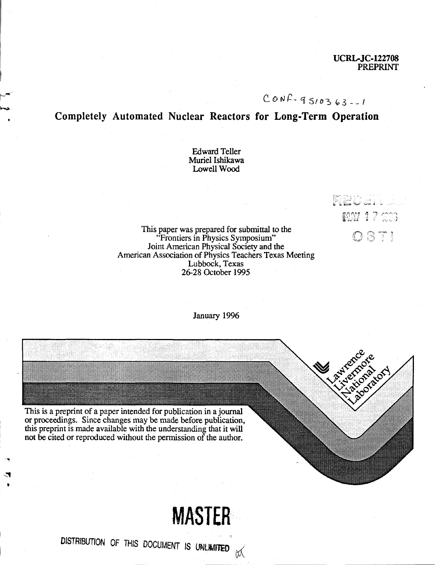#### **UCRL-JC-122708**  PREPRINT

REO

**MAY 17 203** 

OSTI

# $CONF-9510363-1$

## **Completely Automated Nuclear Reactors for Long-Term Operation**

Edward Teller Muriel Ishikawa Lowell Wood

This paper was prepared for submittal to the "Frontiers in Physics Symposium" Joint American Physical Society and the American Association of Physics Teachers Texas Meeting Lubbock, Texas 26-28 October 1995

January 1996



# **MASTER**

DISTRIBUTION OF THIS DOCUMENT IS UNLIMITED  $W$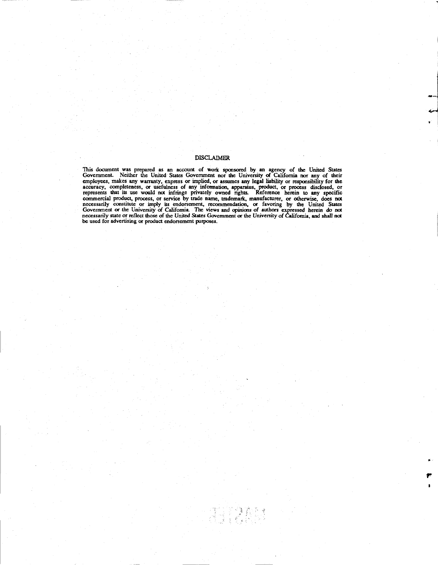#### **DISCLAIMER**

This document was prepared as an account of work sponsored by an agency of the United States Government. Neither the United States Government nor the University of California nor any of their employees, makes any warranty,

2 A N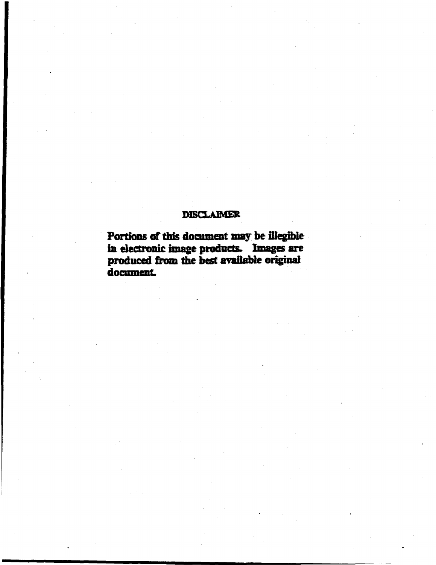### **DISCLAIMER**

**Portions of this document may be illegible In electronic knage products. Images are produced from the best available original document.**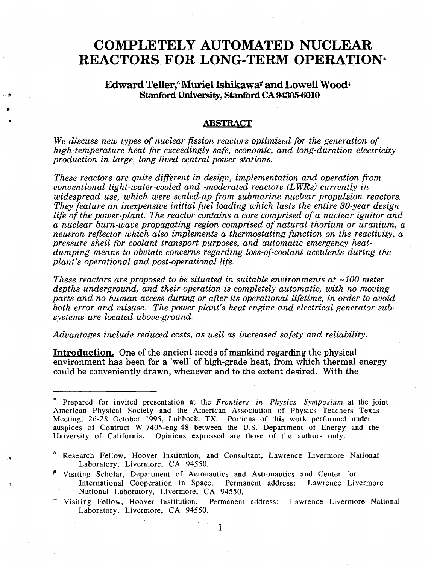# **COMPLETELY AUTOMATED NUCLEAR REACTORS FOR LONG-TERM OPERATION\***

## **Edward Teller,<sup>A</sup> Muriel Ishikawa\* and Lowell Wood+ Stanford University, Stanford CA 94305-6010**

#### **ABSTRACT**

We *discuss new types of nuclear fission reactors optimized for the generation of high-temperature heat for exceedingly safe, economic, and long-duration electricity production in large, long-lived central power stations.* 

*These reactors are quite different in design, implementation and operation from conventional light-water-cooled and -moderated reactors (LWRs) currently in widespread use, which were scaled-up from submarine nuclear propulsion reactors. They feature an inexpensive initial fuel loading which lasts the entire 30-year design life of the power-plant. The reactor contains a core comprised of a nuclear ignitor and a nuclear burn-wave propagating region comprised of natural thorium or uranium, a neutron reflector which also implements a thermostating function on the reactivity, a pressure shell for coolant transport purposes, and automatic emergency heatdumping means to obviate concerns regarding loss-of-coolant accidents during the plant's operational and post-operational life.* 

*These reactors are proposed to be situated in suitable environments at -100 meter depths underground, and their operation is completely automatic, with no moving parts and no human access during or after its operational lifetime, in order to avoid both error and misuse. The power plant's heat engine and electrical generator subsystems are located above-ground.* 

*Advantages include reduced costs, as well as increased safety and reliability.* 

**Introduction.** One of the ancient needs of mankind regarding the physical environment has been for a 'well' of high-grade heat, from which thermal energy could be conveniently drawn, whenever and to the extent desired. With the

- Research Fellow, Hoover Institution, and Consultant, Lawrence Livermore National Laboratory, Livermore, CA 94550.
- # Visiting Scholar, Department of Aeronautics and Astronautics and Center for International Cooperation In Space. National Laboratory, Livermore, CA 94550.
- + Visiting Fellow, Hoover Institution. Permanent address: Lawrence Livermore National Laboratory, Livermore, CA 94550.

Prepared for invited presentation at the *Frontiers in Physics Symposium* at the joint American Physical Society and the American Association of Physics Teachers Texas Meeting, 26-28 October 1995, Lubbock, TX. Portions of this work performed under auspices of Contract W-7405-eng-48 between the U.S. Department of Energy and the University of California. Opinions expressed are those of the authors only.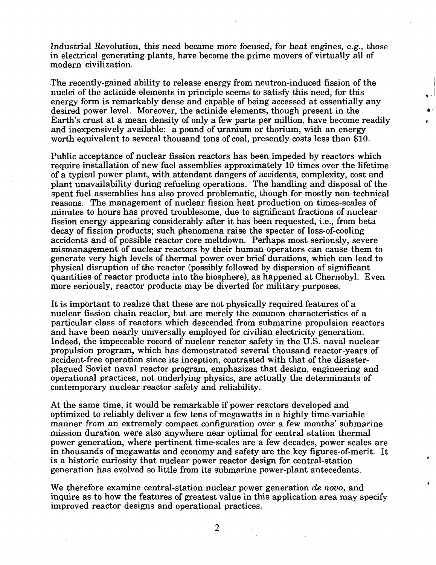Industrial Revolution, this need became more focused, for heat engines, e.g., those in electrical generating plants, have become the prime movers of virtually all of modern civilization.

The recently-gained ability to release energy from neutron-induced fission of the nuclei of the actinide elements in principle seems to satisfy this need, for this energy form is remarkably dense and capable of being accessed at essentially any desired power level. Moreover, the actinide elements, though present in the Earth's crust at a mean density of only a few parts per million, have become readily and inexpensively available: a pound of uranium or thorium, with an energy worth equivalent to several thousand tons of coal, presently costs less than \$10.

Public acceptance of nuclear fission reactors has been impeded by reactors which require installation of new fuel assemblies approximately 10 times over the lifetime of a typical power plant, with attendant dangers of accidents, complexity, cost and plant unavailability during refueling operations. The handling and disposal of the spent fuel assemblies has also proved problematic, though for mostly non-technical reasons. The management of nuclear fission heat production on times-scales of minutes to hours has proved troublesome, due to significant fractions of nuclear fission energy appearing considerably after it has been requested, i.e., from beta decay of fission products; such phenomena raise the specter of loss-of-cooling accidents and of possible reactor core meltdown. Perhaps most seriously, severe mismanagement of nuclear reactors by their human operators can cause them to generate very high levels of thermal power over brief durations, which can lead to physical disruption of the reactor (possibly followed by dispersion of significant quantities of reactor products into the biosphere), as happened at Chernobyl. Even more seriously, reactor products may be diverted for military purposes.

It is important to realize that these are not physically required features of a nuclear fission chain reactor, but are merely the common characteristics of a particular class of reactors which descended from submarine propulsion reactors and have been nearly universally employed for civilian electricity generation. Indeed, the impeccable record of nuclear reactor safety in the U.S. naval nuclear propulsion program, which has demonstrated several thousand reactor-years of accident-free operation since its inception, contrasted with that of the disasterplagued Soviet naval reactor program, emphasizes that design, engineering and operational practices, not underlying physics, are actually the determinants of contemporary nuclear reactor safety and reliability.

At the same time, it would be remarkable if power reactors developed and optimized to reliably deliver a few tens of megawatts in a highly time-variable manner from an extremely compact configuration over a few months' submarine mission duration were also anywhere near optimal for central station thermal power generation, where pertinent time-scales are a few decades, power scales are in thousands of megawatts and economy and safety are the key figures-of-merit. It is a historic curiosity that nuclear power reactor design for central-station generation has evolved so little from its submarine power-plant antecedents.

We therefore examine central-station nuclear power generation *de novo,* and inquire as to how the features of greatest value in this application area may specify improved reactor designs and operational practices.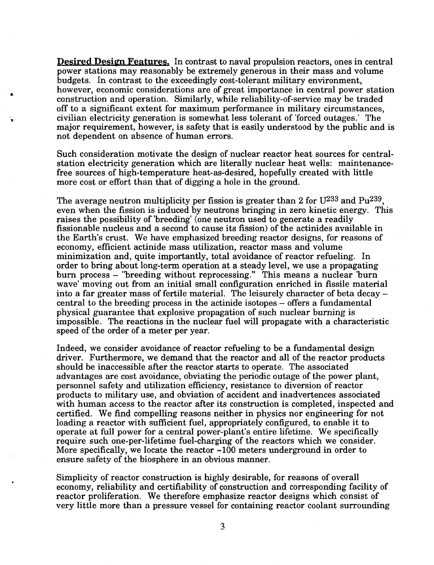**Desired Design Features.** In contrast to naval propulsion reactors, ones in central power stations may reasonably be extremely generous in their mass and volume budgets. In contrast to the exceedingly cost-tolerant military environment, however, economic considerations are of great importance in central power station construction and operation. Similarly, while reliability-of-service may be traded off to a significant extent for maximum performance in military circumstances, civilian electricity generation is somewhat less tolerant of 'forced outages.' The major requirement, however, is safety that is easily understood by the public and is not dependent on absence of human errors.

Such consideration motivate the design of nuclear reactor heat sources for centralstation electricity generation which are literally nuclear heat wells: maintenancefree sources of high-temperature heat-as-desired, hopefully created with little more cost or effort than that of digging a hole in the ground.

The average neutron multiplicity per fission is greater than 2 for  $U^{233}$  and  $Pu^{239}$ . even when the fission is induced by neutrons bringing in zero kinetic energy. This raises the possibility of 'breeding' (one neutron used to generate a readily fissionable nucleus and a second to cause its fission) of the actinides available in the Earth's crust. We have emphasized breeding reactor designs, for reasons of economy, efficient actinide mass utilization, reactor mass and volume minimization and, quite importantly, total avoidance of reactor refueling. In order to bring about long-term operation at a steady level, we use a propagating burn process - "breeding without reprocessing." This means a nuclear burn wave' moving out from an initial small configuration enriched in fissile material into a far greater mass of fertile material. The leisurely character of beta decay central to the breeding process in the actinide isotopes - offers a fundamental physical guarantee that explosive propagation of such nuclear burning is impossible. The reactions in the nuclear fuel will propagate with a characteristic speed of the order of a meter per year.

Indeed, we consider avoidance of reactor refueling to be a fundamental design driver. Furthermore, we demand that the reactor and all of the reactor products should be inaccessible after the reactor starts to operate. The associated advantages are cost avoidance, obviating the periodic outage of the power plant, personnel safety and utilization efficiency, resistance to diversion of reactor products to military use, and obviation of accident and inadvertences associated with human access to the reactor after its construction is completed, inspected and certified. We find compelling reasons neither in physics nor engineering for not loading a reactor with sufficient fuel, appropriately configured, to enable it to operate at full power for a central power-plant's entire lifetime. We specifically require such one-per-lifetime fuel-charging of the reactors which we consider. More specifically, we locate the reactor  $\sim 100$  meters underground in order to ensure safety of the biosphere in an obvious manner.

Simplicity of reactor construction is highly desirable, for reasons of overall economy, reliability and certifiability of construction and corresponding facility of reactor proliferation. We therefore emphasize reactor designs which consist of very little more than a pressure vessel for containing reactor coolant surrounding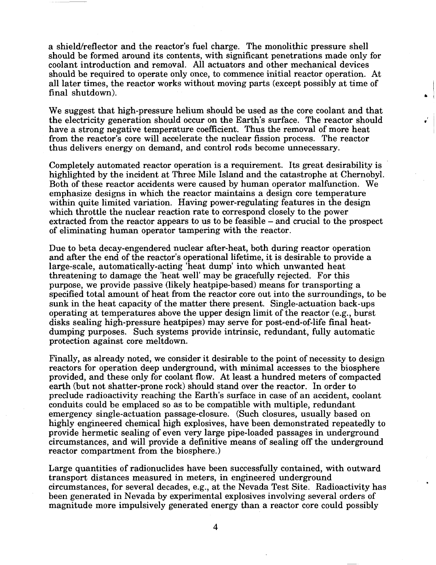a shield/reflector and the reactor's fuel charge. The monolithic pressure shell should be formed around its contents, with significant penetrations made only for coolant introduction and removal. All actuators and other mechanical devices should be required to operate only once, to commence initial reactor operation. At all later times, the reactor works without moving parts (except possibly at time of final shutdown).

We suggest that high-pressure helium should be used as the core coolant and that the electricity generation should occur on the Earth's surface. The reactor should have a strong negative temperature coefficient. Thus the removal of more heat from the reactor's core will accelerate the nuclear fission process. The reactor thus delivers energy on demand, and control rods become unnecessary.

Completely automated reactor operation is a requirement. Its great desirability is highlighted by the incident at Three Mile Island and the catastrophe at Chernobyl. Both of these reactor accidents were caused by human operator malfunction. We emphasize designs in which the reactor maintains a design core temperature within quite limited variation. Having power-regulating features in the design which throttle the nuclear reaction rate to correspond closely to the power extracted from the reactor appears to us to be feasible – and crucial to the prospect of eliminating human operator tampering with the reactor.

Due to beta decay-engendered nuclear after-heat, both during reactor operation and after the end of the reactor's operational lifetime, it is desirable to provide a large-scale, automatically-acting 'heat dump' into which unwanted heat threatening to damage the 'heat well' may be gracefully rejected. For this purpose, we provide passive (likely heatpipe-based) means for transporting a specified total amount of heat from the reactor core out into the surroundings, to be sunk in the heat capacity of the matter there present. Single-actuation back-ups operating at temperatures above the upper design limit of the reactor (e.g., burst disks sealing high-pressure heatpipes) may serve for post-end-of-life final heatdumping purposes. Such systems provide intrinsic, redundant, fully automatic protection against core meltdown.

Finally, as already noted, we consider it desirable to the point of necessity to design reactors for operation deep underground, with minimal accesses to the biosphere provided, and these only for coolant flow. At least a hundred meters of compacted earth (but not shatter-prone rock) should stand over the reactor. In order to preclude radioactivity reaching the Earth's surface in case of an accident, coolant conduits could be emplaced so as to be compatible with multiple, redundant emergency single-actuation passage-closure. (Such closures, usually based on highly engineered chemical high explosives, have been demonstrated repeatedly to provide hermetic sealing of even very large pipe-loaded passages in underground circumstances, and will provide a definitive means of sealing off the underground reactor compartment from the biosphere.)

Large quantities of radionuclides have been successfully contained, with outward transport distances measured in meters, in engineered underground circumstances, for several decades, e.g., at the Nevada Test Site. Radioactivity has been generated in Nevada by experimental explosives involving several orders of magnitude more impulsively generated energy than a reactor core could possibly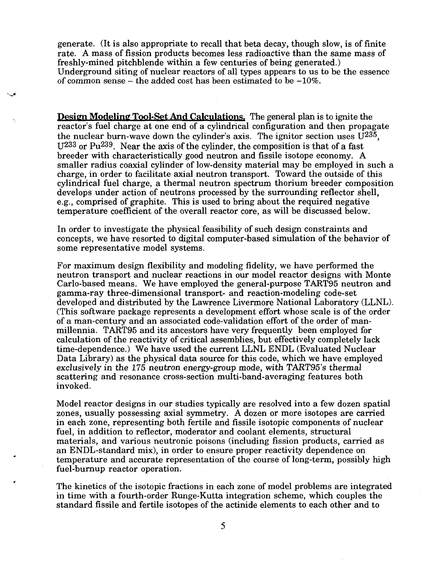generate. (It is also appropriate to recall that beta decay, though slow, is of finite rate. A mass of fission products becomes less radioactive than the same mass of freshly-mined pitchblende within a few centuries of being generated.) Underground siting of nuclear reactors of all types appears to us to be the essence of common sense - the added cost has been estimated to be  $\sim 10\%$ .

**Design Modeling Tool-Set And Calculations.** The general plan is to ignite the reactor's fuel charge at one end of a cylindrical configuration and then propagate the nuclear burn-wave down the cylinder's axis. The ignitor section uses  $U^{235}$ ,  $U^{233}$  or Pu<sup>239</sup>. Near the axis of the cylinder, the composition is that of a fast breeder with characteristically good neutron and fissile isotope economy. A smaller radius coaxial cylinder of low-density material may be employed in such a charge, in order to facilitate axial neutron transport. Toward the outside of this cylindrical fuel charge, a thermal neutron spectrum thorium breeder composition develops under action of neutrons processed by the surrounding reflector shell, e.g., comprised of graphite. This is used to bring about the required negative temperature coefficient of the overall reactor core, as will be discussed below.

In order to investigate the physical feasibility of such design constraints and concepts, we have resorted to digital computer-based simulation of the behavior of some representative model systems.

For maximum design flexibility and modeling fidelity, we have performed the neutron transport and nuclear reactions in our model reactor designs with Monte Carlo-based means. We have employed the general-purpose TART95 neutron and gamma-ray three-dimensional transport- and reaction-modeling code-set developed and distributed by the Lawrence Livermore National Laboratory (LLNL). (This software package represents a development effort whose scale is of the order of a man-century and an associated code-validation effort of the order of manmillennia. TART95 and its ancestors have very frequently been employed for calculation of the reactivity of critical assemblies, but effectively completely lack time-dependence.) We have used the current LLNL ENDL (Evaluated Nuclear Data Library) as the physical data source for this code, which we have employed exclusively in the 175 neutron energy-group mode, with TART95's thermal scattering and resonance cross-section multi-band-averaging features both invoked.

Model reactor designs in our studies typically are resolved into a few dozen spatial zones, usually possessing axial symmetry. A dozen or more isotopes are carried in each zone, representing both fertile and fissile isotopic components of nuclear fuel, in addition to reflector, moderator and coolant elements, structural materials, and various neutronic poisons (including fission products, carried as an ENDL-standard mix), in order to ensure proper reactivity dependence on temperature and accurate representation of the course of long-term, possibly high fuel-burnup reactor operation.

The kinetics of the isotopic fractions in each zone of model problems are integrated in time with a fourth-order Runge-Kutta integration scheme, which couples the standard fissile and fertile isotopes of the actinide elements to each other and to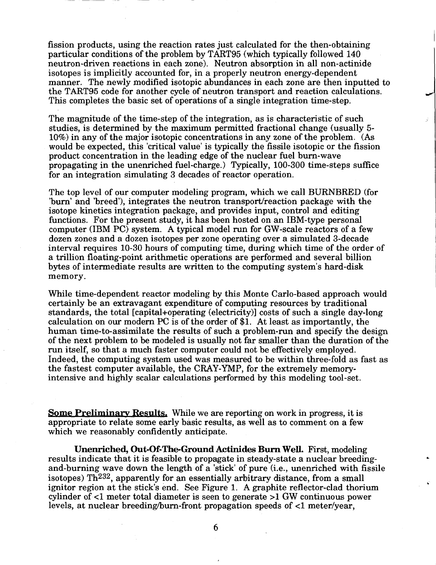fission products, using the reaction rates just calculated for the then-obtaining particular conditions of the problem by TART95 (which typically followed 140 neutron-driven reactions in each zone). Neutron absorption in all non-actinide isotopes is implicitly accounted for, in a properly neutron energy-dependent manner. The newly modified isotopic abundances in each zone are then inputted to the TART95 code for another cycle of neutron transport and reaction calculations. This completes the basic set of operations of a single integration time-step.

The magnitude of the time-step of the integration, as is characteristic of such studies, is determined by the maximum permitted fractional change (usually 5- 10%) in any of the major isotopic concentrations in any zone of the problem. (As would be expected, this 'critical value' is typically the fissile isotopic or the fission product concentration in the leading edge of the nuclear fuel burn-wave propagating in the unenriched fuel-charge.) Typically, 100-300 time-steps suffice for an integration simulating 3 decades of reactor operation.

The top level of our computer modeling program, which we call BURNBRED (for 'burn' and 'breed'), integrates the neutron transport/reaction package with the isotope kinetics integration package, and provides input, control and editing functions. For the present study, it has been hosted on an IBM-type personal computer (IBM PC) system. A typical model run for GW-scale reactors of a few dozen zones and a dozen isotopes per zone operating over a simulated 3-decade interval requires 10-30 hours of computing time, during which time of the order of a trillion floating-point arithmetic operations are performed and several billion bytes of intermediate results are written to the computing system's hard-disk memory.

While time-dependent reactor modeling by this Monte Carlo-based approach would certainly be an extravagant expenditure of computing resources by traditional standards, the total [capital+operating (electricity)] costs of such a single day-long calculation on our modern PC is of the order of \$1. At least as importantly, the human time-to-assimilate the results of such a problem-run and specify the design of the next problem to be modeled is usually not far smaller than the duration of the run itself, so that a much faster computer could not be effectively employed. Indeed, the computing system used was measured to be within three-fold as fast as the fastest computer available, the CRAY-YMP, for the extremely memoryintensive and highly scalar calculations performed by this modeling tool-set.

**Some Preliminary Results.** While we are reporting on work in progress, it is appropriate to relate some early basic results, as well as to comment on a few which we reasonably confidently anticipate.

**Unenriched, Out-Of-The-Ground Actinides Burn Well.** First, modeling results indicate that it is feasible to propagate in steady-state a nuclear breedingand-burning wave down the length of a 'stick' of pure (i.e., unenriched with fissile isotopes) Th<sup>232</sup>, apparently for an essentially arbitrary distance, from a small ignitor region at the stick's end. See Figure 1. A graphite reflector-clad thorium cylinder of <1 meter total diameter is seen to generate >1 GW continuous power levels, at nuclear breeding/burn-front propagation speeds of <1 meter/year,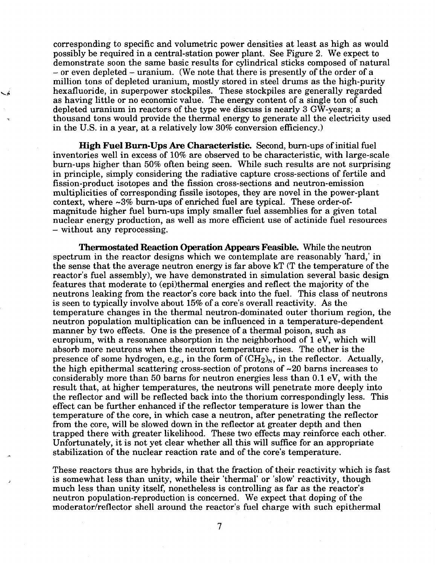corresponding to specific and volumetric power densities at least as high as would possibly be required in a central-station power plant. See Figure 2. We expect to demonstrate soon the same basic results for cylindrical sticks composed of natural  $-$  or even depleted  $-$  uranium. (We note that there is presently of the order of a million tons of depleted uranium, mostly stored in steel drums as the high-purity hexafluoride, in superpower stockpiles. These stockpiles are generally regarded as having little or no economic value. The energy content of a single ton of such depleted uranium in reactors of the type we discuss is nearly 3 GW-years; a thousand tons would provide the thermal energy to generate all the electricity used in the U.S. in a year, at a relatively low 30% conversion efficiency.)

**High Fuel Burn-Ups Are Characteristic.** Second, burn-ups of initial fuel inventories well in excess of 10% are observed to be characteristic, with large-scale burn-ups higher than 50% often being seen. While such results are not surprising in principle, simply considering the radiative capture cross-sections of fertile and fission-product isotopes and the fission cross-sections and neutron-emission multiplicities of corresponding fissile isotopes, they are novel in the power-plant context, where ~3% burn-ups of enriched fuel are typical. These order-ofmagnitude higher fuel burn-ups imply smaller fuel assemblies for a given total nuclear energy production, as well as more efficient use of actinide fuel resources - without any reprocessing.

**Thermostated Reaction Operation Appears Feasible.** While the neutron spectrum in the reactor designs which we contemplate are reasonably 'hard,' in the sense that the average neutron energy is far above kT (T the temperature of the reactor's fuel assembly), we have demonstrated in simulation several basic design features that moderate to (epi)thermal energies and reflect the majority of the neutrons leaking from the reactor's core back into the fuel. This class of neutrons is seen to typically involve about 15% of a core's overall reactivity. As the temperature changes in the thermal neutron-dominated outer thorium region, the neutron population multiplication can be influenced in a temperature-dependent manner by two effects. One is the presence of a thermal poison, such as europium, with a resonance absorption in the neighborhood of 1 eV, which will absorb more neutrons when the neutron temperature rises. The other is the presence of some hydrogen, e.g., in the form of  $(CH_2)_N$ , in the reflector. Actually, the high epithermal scattering cross-section of protons of ~20 barns increases to considerably more than 50 barns for neutron energies less than 0.1 eV, with the result that, at higher temperatures, the neutrons will penetrate more deeply into the reflector and will be reflected back into the thorium correspondingly less. This effect can be further enhanced if the reflector temperature is lower than the temperature of the core, in which case a neutron, after penetrating the reflector from the core, will be slowed down in the reflector at greater depth and then trapped there with greater likelihood. These two effects may reinforce each other. Unfortunately, it is not yet clear whether all this will suffice for an appropriate stabilization of the nuclear reaction rate and of the core's temperature.

These reactors thus are hybrids, in that the fraction of their reactivity which is fast is somewhat less than unity, while their 'thermal' or 'slow' reactivity, though much less than unity itself, nonetheless is controlling as far as the reactor's neutron population-reproduction is concerned. We expect that doping of the moderator/reflector shell around the reactor's fuel charge with such epithermal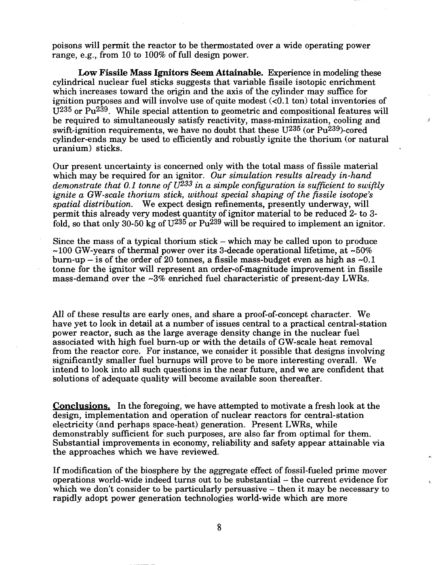poisons will permit the reactor to be thermostated over a wide operating power range, e.g., from 10 to 100% of full design power.

**Low Fissile Mass Ignitors Seem Attainable.** Experience in modeling these cylindrical nuclear fuel sticks suggests that variable fissile isotopic enrichment which increases toward the origin and the axis of the cylinder may suffice for ignition purposes and will involve use of quite modest  $( $0.1 \text{ ton}$ )$  total inventories of  $U^{235}$  or Pu<sup>239</sup>. While special attention to geometric and compositional features will be required to simultaneously satisfy reactivity, mass-minimization, cooling and swift-ignition requirements, we have no doubt that these  $U^{235}$  (or  $Pu^{239}$ )-cored cylinder-ends may be used to efficiently and robustly ignite the thorium (or natural uranium) sticks.

Our present uncertainty is concerned only with the total mass of fissile material which may be required for an ignitor. *Our simulation results already in-hand demonstrate that 0.1 tonne of U<sup>233</sup> in a simple configuration is sufficient to swiftly ignite a GW-scale thorium stick, without special shaping of the fissile isotope's spatial distribution.* We expect design refinements, presently underway, will permit this already very modest quantity of ignitor material to be reduced 2- to 3 fold, so that only 30-50 kg of  $U^{235}$  or  $Pu^{239}$  will be required to implement an ignitor.

Since the mass of a typical thorium stick – which may be called upon to produce  $\sim$ 100 GW-years of thermal power over its 3-decade operational lifetime, at  $\sim$ 50% burn-up  $-$  is of the order of 20 tonnes, a fissile mass-budget even as high as  $\sim 0.1$ tonne for the ignitor will represent an order-of-magnitude improvement in fissile mass-demand over the ~3% enriched fuel characteristic of present-day LWRs.

All of these results are early ones, and share a proof-of-concept character. We have yet to look in detail at a number of issues central to a practical central-station power reactor, such as the large average density change in the nuclear fuel associated with high fuel burn-up or with the details of GW-scale heat removal from the reactor core. For instance, we consider it possible that designs involving significantly smaller fuel burnups will prove to be more interesting overall. We intend to look into all such questions in the near future, and we are confident that solutions of adequate quality will become available soon thereafter.

**Conclusions.** In the foregoing, we have attempted to motivate a fresh look at the design, implementation and operation of nuclear reactors for central-station electricity (and perhaps space-heat) generation. Present LWRs, while demonstrably sufficient for such purposes, are also far from optimal for them. Substantial improvements in economy, reliability and safety appear attainable via the approaches which we have reviewed.

If modification of the biosphere by the aggregate effect of fossil-fueled prime mover operations world-wide indeed turns out to be substantial - the current evidence for which we don't consider to be particularly persuasive — then it may be necessary to rapidly adopt power generation technologies world-wide which are more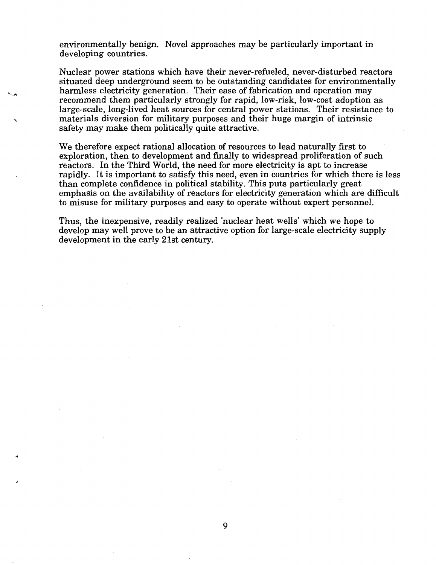environmentally benign. Novel approaches may be particularly important in developing countries.

Nuclear power stations which have their never-refueled, never-disturbed reactors situated deep underground seem to be outstanding candidates for environmentally harmless electricity generation. Their ease of fabrication and operation may recommend them particularly strongly for rapid, low-risk, low-cost adoption as large-scale, long-lived heat sources for central power stations. Their resistance to materials diversion for military purposes and their huge margin of intrinsic safety may make them politically quite attractive.

We therefore expect rational allocation of resources to lead naturally first to exploration, then to development and finally to widespread proliferation of such reactors. In the Third World, the need for more electricity is apt to increase rapidly. It is important to satisfy this need, even in countries for which there is less than complete confidence in political stability. This puts particularly great emphasis on the availability of reactors for electricity generation which are difficult to misuse for military purposes and easy to operate without expert personnel.

Thus, the inexpensive, readily realized 'nuclear heat wells' which we hope to develop may well prove to be an attractive option for large-scale electricity supply development in the early 21st century.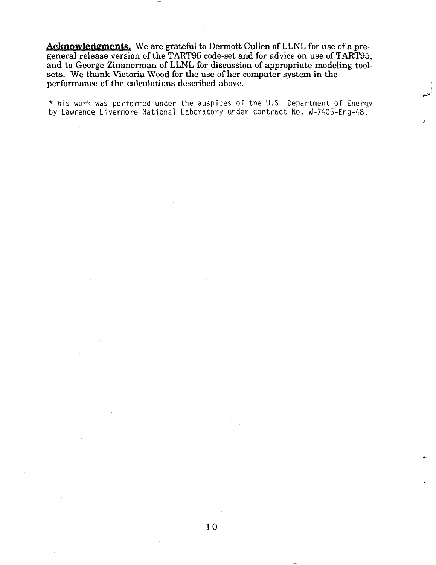**Acknowledgments. We are grateful to Dermott Cullen of LLNL for use of a pregeneral release version of the TART95 code-set and for advice on use of TART95, and to George Zimmerman of LLNL for discussion of appropriate modeling toolsets. We thank Victoria Wood for the use of her computer system in the performance of the calculations described above.** 

\*This work was performed under the auspices of the U.S. Department of Energy by Lawrence Liverrnore National Laboratory under contract No. W-7405-Eng-48.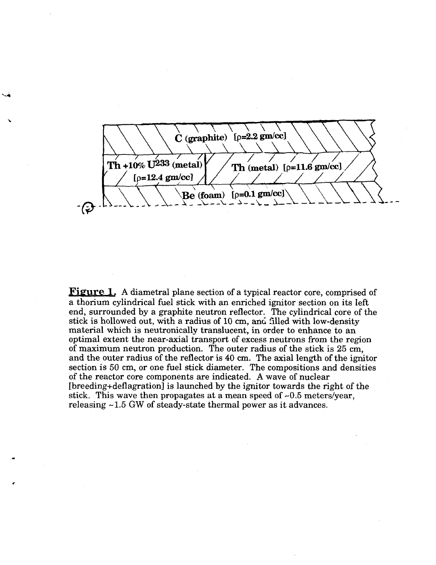*7* **7** *7*   $\left[\text{TR} + 10\% \text{ U}^2\right]$  $\lambda \lambda \lambda$  $\dot{\mathbf{C}}$  (graphite)  $\left[\rho=2.2 \text{ gm/cc}\right]$  $[0=12.4 \text{ gm/cc}]$ **Th** (metal)  $[\rho=11.6 \text{ gm/cc}]$  $\text{Be}$  (foam)  $[\rho=0.1 \text{ gm/cc}]$ 

**"\*u\*** 

**Figure 1.** A diametral plane section of a typical reactor core, comprised of a thorium cylindrical fuel stick with an enriched ignitor section on its left end, surrounded by a graphite neutron reflector. The cylindrical core of the stick is hollowed out, with a radius of 10 cm, and tilled with low-density material which is neutronically translucent, in order to enhance to an optimal extent the near-axial transport of excess neutrons from the region of maximum neutron production. The outer radius of the stick is 25 cm, and the outer radius of the reflector is 40 cm. The axial length of the ignitor section is 50 cm, or one fuel stick diameter. The compositions and densities of the reactor core components are indicated. A wave of nuclear [breeding+deflagration] is launched by the ignitor towards the right of the stick. This wave then propagates at a mean speed of ~0.5 meters/year, releasing ~1.5 GW of steady-state thermal power as it advances.